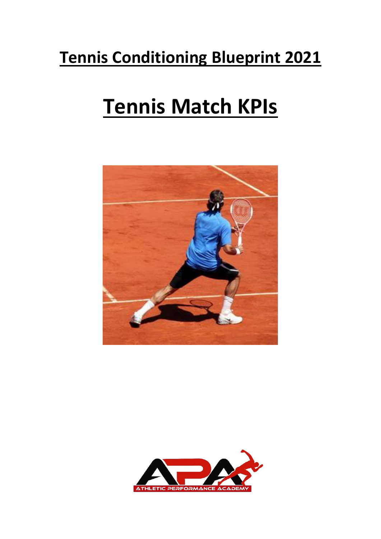## **Tennis Conditioning Blueprint 2021**

# **Tennis Match KPIs**



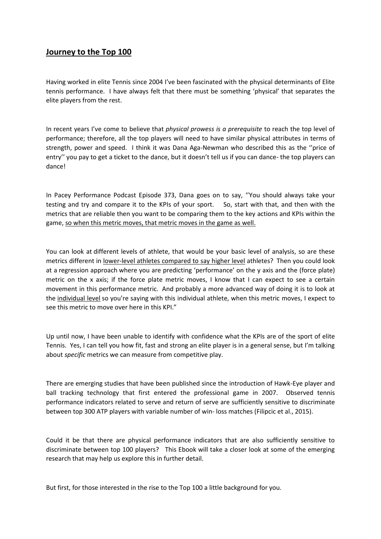## **Journey to the Top 100**

Having worked in elite Tennis since 2004 I've been fascinated with the physical determinants of Elite tennis performance. I have always felt that there must be something 'physical' that separates the elite players from the rest.

In recent years I've come to believe that *physical prowess is a prerequisite* to reach the top level of performance; therefore, all the top players will need to have similar physical attributes in terms of strength, power and speed. I think it was Dana Aga-Newman who described this as the ''price of entry'' you pay to get a ticket to the dance, but it doesn't tell us if you can dance- the top players can dance!

In Pacey Performance Podcast Episode 373, Dana goes on to say, ''You should always take your testing and try and compare it to the KPIs of your sport. So, start with that, and then with the metrics that are reliable then you want to be comparing them to the key actions and KPIs within the game, so when this metric moves, that metric moves in the game as well.

You can look at different levels of athlete, that would be your basic level of analysis, so are these metrics different in lower-level athletes compared to say higher level athletes? Then you could look at a regression approach where you are predicting 'performance' on the y axis and the (force plate) metric on the x axis; if the force plate metric moves, I know that I can expect to see a certain movement in this performance metric. And probably a more advanced way of doing it is to look at the individual level so you're saying with this individual athlete, when this metric moves, I expect to see this metric to move over here in this KPI."

Up until now, I have been unable to identify with confidence what the KPIs are of the sport of elite Tennis. Yes, I can tell you how fit, fast and strong an elite player is in a general sense, but I'm talking about *specific* metrics we can measure from competitive play.

There are emerging studies that have been published since the introduction of Hawk-Eye player and ball tracking technology that first entered the professional game in 2007. Observed tennis performance indicators related to serve and return of serve are sufficiently sensitive to discriminate between top 300 ATP players with variable number of win- loss matches (Filipcic et al., 2015).

Could it be that there are physical performance indicators that are also sufficiently sensitive to discriminate between top 100 players? This Ebook will take a closer look at some of the emerging research that may help us explore this in further detail.

But first, for those interested in the rise to the Top 100 a little background for you.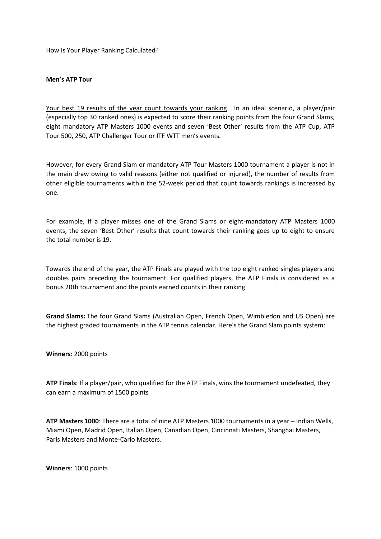How Is Your Player Ranking Calculated?

#### **Men's ATP Tour**

Your best 19 results of the year count towards your ranking. In an ideal scenario, a player/pair (especially top 30 ranked ones) is expected to score their ranking points from the four Grand Slams, eight mandatory ATP Masters 1000 events and seven 'Best Other' results from the ATP Cup, ATP Tour 500, 250, ATP Challenger Tour or ITF WTT men's events.

However, for every Grand Slam or mandatory ATP Tour Masters 1000 tournament a player is not in the main draw owing to valid reasons (either not qualified or injured), the number of results from other eligible tournaments within the 52-week period that count towards rankings is increased by one.

For example, if a player misses one of the Grand Slams or eight-mandatory ATP Masters 1000 events, the seven 'Best Other' results that count towards their ranking goes up to eight to ensure the total number is 19.

Towards the end of the year, the ATP Finals are played with the top eight ranked singles players and doubles pairs preceding the tournament. For qualified players, the ATP Finals is considered as a bonus 20th tournament and the points earned counts in their ranking

**Grand Slams:** The four Grand Slams (Australian Open, French Open, Wimbledon and US Open) are the highest graded tournaments in the ATP tennis calendar. Here's the Grand Slam points system:

**Winners**: 2000 points

**ATP Finals**: If a player/pair, who qualified for the ATP Finals, wins the tournament undefeated, they can earn a maximum of 1500 points

**ATP Masters 1000**: There are a total of nine ATP Masters 1000 tournaments in a year – Indian Wells, Miami Open, Madrid Open, Italian Open, Canadian Open, Cincinnati Masters, Shanghai Masters, Paris Masters and Monte-Carlo Masters.

**Winners**: 1000 points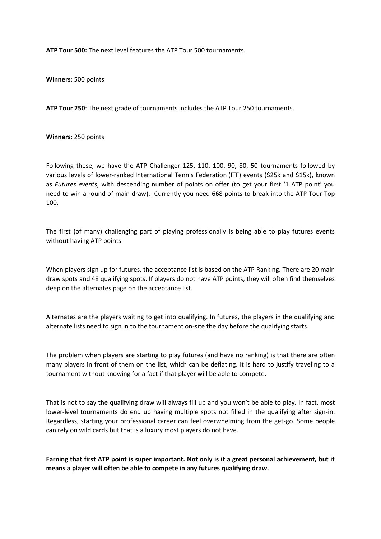**ATP Tour 500:** The next level features the ATP Tour 500 tournaments.

**Winners**: 500 points

**ATP Tour 250**: The next grade of tournaments includes the ATP Tour 250 tournaments.

**Winners**: 250 points

Following these, we have the ATP Challenger 125, 110, 100, 90, 80, 50 tournaments followed by various levels of lower-ranked International Tennis Federation (ITF) events (\$25k and \$15k), known as *Futures events*, with descending number of points on offer (to get your first '1 ATP point' you need to win a round of main draw). Currently you need 668 points to break into the ATP Tour Top 100.

The first (of many) challenging part of playing professionally is being able to play futures events without having ATP points.

When players sign up for futures, the acceptance list is based on the ATP Ranking. There are 20 main draw spots and 48 qualifying spots. If players do not have ATP points, they will often find themselves deep on the alternates page on the acceptance list.

Alternates are the players waiting to get into qualifying. In futures, the players in the qualifying and alternate lists need to sign in to the tournament on-site the day before the qualifying starts.

The problem when players are starting to play futures (and have no ranking) is that there are often many players in front of them on the list, which can be deflating. It is hard to justify traveling to a tournament without knowing for a fact if that player will be able to compete.

That is not to say the qualifying draw will always fill up and you won't be able to play. In fact, most lower-level tournaments do end up having multiple spots not filled in the qualifying after sign-in. Regardless, starting your professional career can feel overwhelming from the get-go. Some people can rely on wild cards but that is a luxury most players do not have.

**Earning that first ATP point is super important. Not only is it a great personal achievement, but it means a player will often be able to compete in any futures qualifying draw.**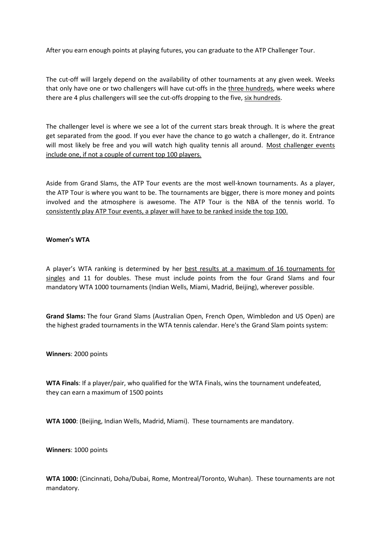After you earn enough points at playing futures, you can graduate to the ATP Challenger Tour.

The cut-off will largely depend on the availability of other tournaments at any given week. Weeks that only have one or two challengers will have cut-offs in the three hundreds, where weeks where there are 4 plus challengers will see the cut-offs dropping to the five, six hundreds.

The challenger level is where we see a lot of the current stars break through. It is where the great get separated from the good. If you ever have the chance to go watch a challenger, do it. Entrance will most likely be free and you will watch high quality tennis all around. Most challenger events include one, if not a couple of current top 100 players.

Aside from Grand Slams, the ATP Tour events are the most well-known tournaments. As a player, the ATP Tour is where you want to be. The tournaments are bigger, there is more money and points involved and the atmosphere is awesome. The ATP Tour is the NBA of the tennis world. To consistently play ATP Tour events, a player will have to be ranked inside the top 100.

#### **Women's WTA**

A player's WTA ranking is determined by her best results at a maximum of 16 tournaments for singles and 11 for doubles. These must include points from the four Grand Slams and four mandatory WTA 1000 tournaments (Indian Wells, Miami, Madrid, Beijing), wherever possible.

**Grand Slams:** The four Grand Slams (Australian Open, French Open, Wimbledon and US Open) are the highest graded tournaments in the WTA tennis calendar. Here's the Grand Slam points system:

**Winners**: 2000 points

**WTA Finals**: If a player/pair, who qualified for the WTA Finals, wins the tournament undefeated, they can earn a maximum of 1500 points

**WTA 1000**: (Beijing, Indian Wells, Madrid, Miami). These tournaments are mandatory.

**Winners**: 1000 points

**WTA 1000:** (Cincinnati, Doha/Dubai, Rome, Montreal/Toronto, Wuhan). These tournaments are not mandatory.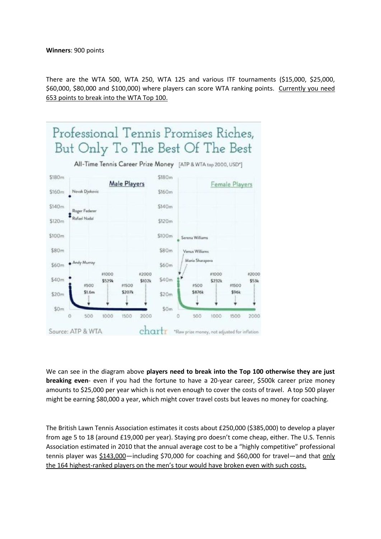There are the WTA 500, WTA 250, WTA 125 and various ITF tournaments (\$15,000, \$25,000, \$60,000, \$80,000 and \$100,000) where players can score WTA ranking points. Currently you need 653 points to break into the WTA Top 100.



We can see in the diagram above **players need to break into the Top 100 otherwise they are just breaking even**- even if you had the fortune to have a 20-year career, \$500k career prize money amounts to \$25,000 per year which is not even enough to cover the costs of travel. A top 500 player might be earning \$80,000 a year, which might cover travel costs but leaves no money for coaching.

The British Lawn Tennis Association estimates it costs about £250,000 (\$385,000) to develop a player from age 5 to 18 (around £19,000 per year). Staying pro doesn't come cheap, either. The U.S. Tennis Association estimated in 2010 that the annual average cost to be a "highly competitive" professional tennis player was \$143,000—including \$70,000 for coaching and \$60,000 for travel—and that only the 164 highest-ranked players on the men's tour would have broken even with such costs.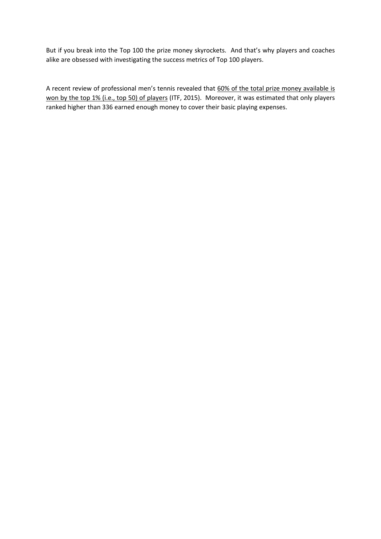But if you break into the Top 100 the prize money skyrockets. And that's why players and coaches alike are obsessed with investigating the success metrics of Top 100 players.

A recent review of professional men's tennis revealed that 60% of the total prize money available is won by the top 1% (i.e., top 50) of players (ITF, 2015). Moreover, it was estimated that only players ranked higher than 336 earned enough money to cover their basic playing expenses.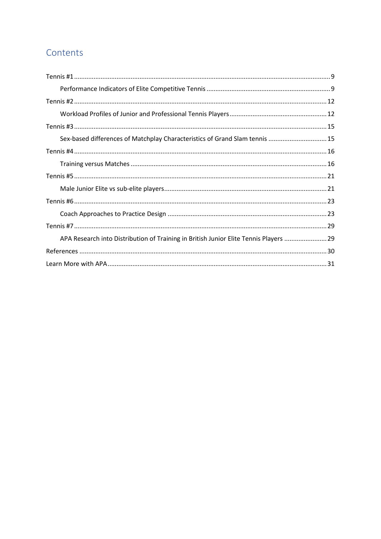## Contents

| Sex-based differences of Matchplay Characteristics of Grand Slam tennis  15           |  |
|---------------------------------------------------------------------------------------|--|
|                                                                                       |  |
|                                                                                       |  |
|                                                                                       |  |
|                                                                                       |  |
|                                                                                       |  |
|                                                                                       |  |
|                                                                                       |  |
| APA Research into Distribution of Training in British Junior Elite Tennis Players  29 |  |
|                                                                                       |  |
|                                                                                       |  |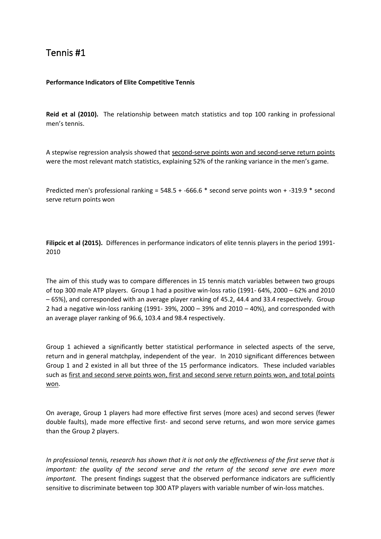## <span id="page-8-0"></span>Tennis #1

### <span id="page-8-1"></span>**Performance Indicators of Elite Competitive Tennis**

**Reid et al (2010).** The relationship between match statistics and top 100 ranking in professional men's tennis.

A stepwise regression analysis showed that second-serve points won and second-serve return points were the most relevant match statistics, explaining 52% of the ranking variance in the men's game.

Predicted men's professional ranking = 548.5 + -666.6 \* second serve points won + -319.9 \* second serve return points won

**Filipcic et al (2015).** Differences in performance indicators of elite tennis players in the period 1991- 2010

The aim of this study was to compare differences in 15 tennis match variables between two groups of top 300 male ATP players. Group 1 had a positive win-loss ratio (1991- 64%, 2000 – 62% and 2010 – 65%), and corresponded with an average player ranking of 45.2, 44.4 and 33.4 respectively. Group 2 had a negative win-loss ranking  $(1991-39\% 2000-39\%$  and  $2010-40\%)$ , and corresponded with an average player ranking of 96.6, 103.4 and 98.4 respectively.

Group 1 achieved a significantly better statistical performance in selected aspects of the serve, return and in general matchplay, independent of the year. In 2010 significant differences between Group 1 and 2 existed in all but three of the 15 performance indicators. These included variables such as first and second serve points won, first and second serve return points won, and total points won.

On average, Group 1 players had more effective first serves (more aces) and second serves (fewer double faults), made more effective first- and second serve returns, and won more service games than the Group 2 players.

*In professional tennis, research has shown that it is not only the effectiveness of the first serve that is important: the quality of the second serve and the return of the second serve are even more important.* The present findings suggest that the observed performance indicators are sufficiently sensitive to discriminate between top 300 ATP players with variable number of win-loss matches.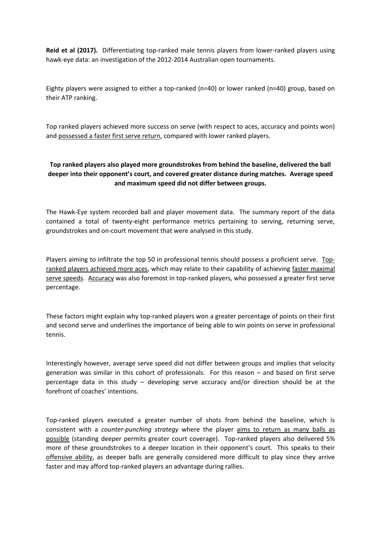**Reid et al (2017).** Differentiating top-ranked male tennis players from lower-ranked players using hawk-eye data: an investigation of the 2012-2014 Australian open tournaments.

Eighty players were assigned to either a top-ranked (n=40) or lower ranked (n=40) group, based on their ATP ranking.

Top ranked players achieved more success on serve (with respect to aces, accuracy and points won) and possessed a faster first serve return, compared with lower ranked players.

## **Top ranked players also played more groundstrokes from behind the baseline, delivered the ball deeper into their opponent's court, and covered greater distance during matches. Average speed and maximum speed did not differ between groups.**

The Hawk-Eye system recorded ball and player movement data. The summary report of the data contained a total of twenty-eight performance metrics pertaining to serving, returning serve, groundstrokes and on-court movement that were analysed in this study.

Players aiming to infiltrate the top 50 in professional tennis should possess a proficient serve. Topranked players achieved more aces, which may relate to their capability of achieving faster maximal serve speeds. Accuracy was also foremost in top-ranked players, who possessed a greater first serve percentage.

These factors might explain why top-ranked players won a greater percentage of points on their first and second serve and underlines the importance of being able to win points on serve in professional tennis.

Interestingly however, average serve speed did not differ between groups and implies that velocity generation was similar in this cohort of professionals. For this reason – and based on first serve percentage data in this study – developing serve accuracy and/or direction should be at the forefront of coaches' intentions.

Top-ranked players executed a greater number of shots from behind the baseline, which is consistent with a *counter-punching strategy* where the player aims to return as many balls as possible (standing deeper permits greater court coverage). Top-ranked players also delivered 5% more of these groundstrokes to a deeper location in their opponent's court. This speaks to their offensive ability, as deeper balls are generally considered more difficult to play since they arrive faster and may afford top-ranked players an advantage during rallies.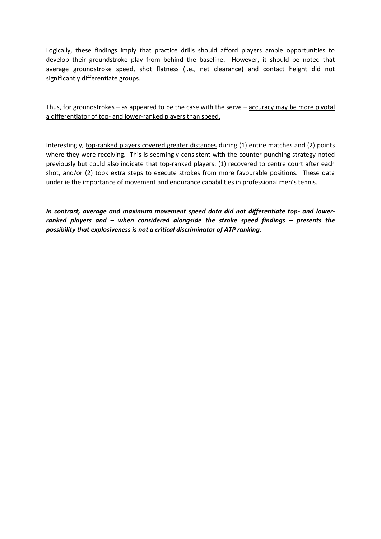Logically, these findings imply that practice drills should afford players ample opportunities to develop their groundstroke play from behind the baseline. However, it should be noted that average groundstroke speed, shot flatness (i.e., net clearance) and contact height did not significantly differentiate groups.

Thus, for groundstrokes – as appeared to be the case with the serve – accuracy may be more pivotal a differentiator of top- and lower-ranked players than speed.

Interestingly, top-ranked players covered greater distances during (1) entire matches and (2) points where they were receiving. This is seemingly consistent with the counter-punching strategy noted previously but could also indicate that top-ranked players: (1) recovered to centre court after each shot, and/or (2) took extra steps to execute strokes from more favourable positions. These data underlie the importance of movement and endurance capabilities in professional men's tennis.

*In contrast, average and maximum movement speed data did not differentiate top- and lowerranked players and – when considered alongside the stroke speed findings – presents the possibility that explosiveness is not a critical discriminator of ATP ranking.*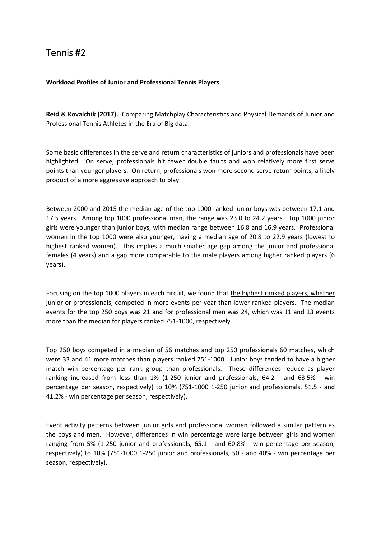## <span id="page-11-0"></span>Tennis #2

### <span id="page-11-1"></span>**Workload Profiles of Junior and Professional Tennis Players**

**Reid & Kovalchik (2017).** Comparing Matchplay Characteristics and Physical Demands of Junior and Professional Tennis Athletes in the Era of Big data.

Some basic differences in the serve and return characteristics of juniors and professionals have been highlighted. On serve, professionals hit fewer double faults and won relatively more first serve points than younger players. On return, professionals won more second serve return points, a likely product of a more aggressive approach to play.

Between 2000 and 2015 the median age of the top 1000 ranked junior boys was between 17.1 and 17.5 years. Among top 1000 professional men, the range was 23.0 to 24.2 years. Top 1000 junior girls were younger than junior boys, with median range between 16.8 and 16.9 years. Professional women in the top 1000 were also younger, having a median age of 20.8 to 22.9 years (lowest to highest ranked women). This implies a much smaller age gap among the junior and professional females (4 years) and a gap more comparable to the male players among higher ranked players (6 years).

Focusing on the top 1000 players in each circuit, we found that the highest ranked players, whether junior or professionals, competed in more events per year than lower ranked players. The median events for the top 250 boys was 21 and for professional men was 24, which was 11 and 13 events more than the median for players ranked 751-1000, respectively.

Top 250 boys competed in a median of 56 matches and top 250 professionals 60 matches, which were 33 and 41 more matches than players ranked 751-1000. Junior boys tended to have a higher match win percentage per rank group than professionals. These differences reduce as player ranking increased from less than 1% (1-250 junior and professionals, 64.2 - and 63.5% - win percentage per season, respectively) to 10% (751-1000 1-250 junior and professionals, 51.5 - and 41.2% - win percentage per season, respectively).

Event activity patterns between junior girls and professional women followed a similar pattern as the boys and men. However, differences in win percentage were large between girls and women ranging from 5% (1-250 junior and professionals, 65.1 - and 60.8% - win percentage per season, respectively) to 10% (751-1000 1-250 junior and professionals, 50 - and 40% - win percentage per season, respectively).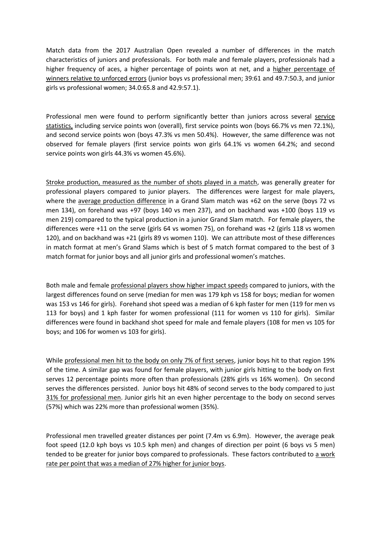Match data from the 2017 Australian Open revealed a number of differences in the match characteristics of juniors and professionals. For both male and female players, professionals had a higher frequency of aces, a higher percentage of points won at net, and a higher percentage of winners relative to unforced errors (junior boys vs professional men; 39:61 and 49.7:50.3, and junior girls vs professional women; 34.0:65.8 and 42.9:57.1).

Professional men were found to perform significantly better than juniors across several service statistics, including service points won (overall), first service points won (boys 66.7% vs men 72.1%), and second service points won (boys 47.3% vs men 50.4%). However, the same difference was not observed for female players (first service points won girls 64.1% vs women 64.2%; and second service points won girls 44.3% vs women 45.6%).

Stroke production, measured as the number of shots played in a match, was generally greater for professional players compared to junior players. The differences were largest for male players, where the average production difference in a Grand Slam match was +62 on the serve (boys 72 vs men 134), on forehand was +97 (boys 140 vs men 237), and on backhand was +100 (boys 119 vs men 219) compared to the typical production in a junior Grand Slam match. For female players, the differences were +11 on the serve (girls 64 vs women 75), on forehand was +2 (girls 118 vs women 120), and on backhand was +21 (girls 89 vs women 110). We can attribute most of these differences in match format at men's Grand Slams which is best of 5 match format compared to the best of 3 match format for junior boys and all junior girls and professional women's matches.

Both male and female professional players show higher impact speeds compared to juniors, with the largest differences found on serve (median for men was 179 kph vs 158 for boys; median for women was 153 vs 146 for girls). Forehand shot speed was a median of 6 kph faster for men (119 for men vs 113 for boys) and 1 kph faster for women professional (111 for women vs 110 for girls). Similar differences were found in backhand shot speed for male and female players (108 for men vs 105 for boys; and 106 for women vs 103 for girls).

While professional men hit to the body on only 7% of first serves, junior boys hit to that region 19% of the time. A similar gap was found for female players, with junior girls hitting to the body on first serves 12 percentage points more often than professionals (28% girls vs 16% women). On second serves the differences persisted. Junior boys hit 48% of second serves to the body compared to just 31% for professional men. Junior girls hit an even higher percentage to the body on second serves (57%) which was 22% more than professional women (35%).

Professional men travelled greater distances per point (7.4m vs 6.9m). However, the average peak foot speed (12.0 kph boys vs 10.5 kph men) and changes of direction per point (6 boys vs 5 men) tended to be greater for junior boys compared to professionals. These factors contributed to a work rate per point that was a median of 27% higher for junior boys.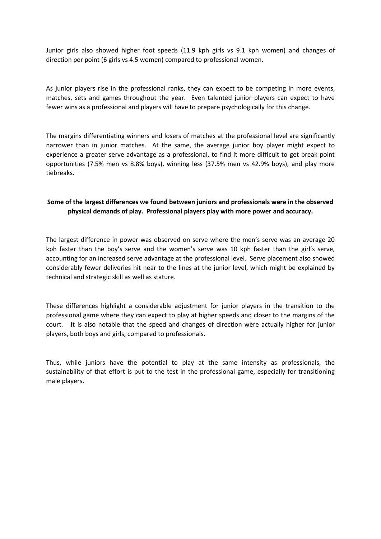Junior girls also showed higher foot speeds (11.9 kph girls vs 9.1 kph women) and changes of direction per point (6 girls vs 4.5 women) compared to professional women.

As junior players rise in the professional ranks, they can expect to be competing in more events, matches, sets and games throughout the year. Even talented junior players can expect to have fewer wins as a professional and players will have to prepare psychologically for this change.

The margins differentiating winners and losers of matches at the professional level are significantly narrower than in junior matches. At the same, the average junior boy player might expect to experience a greater serve advantage as a professional, to find it more difficult to get break point opportunities (7.5% men vs 8.8% boys), winning less (37.5% men vs 42.9% boys), and play more tiebreaks.

## **Some of the largest differences we found between juniors and professionals were in the observed physical demands of play. Professional players play with more power and accuracy.**

The largest difference in power was observed on serve where the men's serve was an average 20 kph faster than the boy's serve and the women's serve was 10 kph faster than the girl's serve, accounting for an increased serve advantage at the professional level. Serve placement also showed considerably fewer deliveries hit near to the lines at the junior level, which might be explained by technical and strategic skill as well as stature.

These differences highlight a considerable adjustment for junior players in the transition to the professional game where they can expect to play at higher speeds and closer to the margins of the court. It is also notable that the speed and changes of direction were actually higher for junior players, both boys and girls, compared to professionals.

Thus, while juniors have the potential to play at the same intensity as professionals, the sustainability of that effort is put to the test in the professional game, especially for transitioning male players.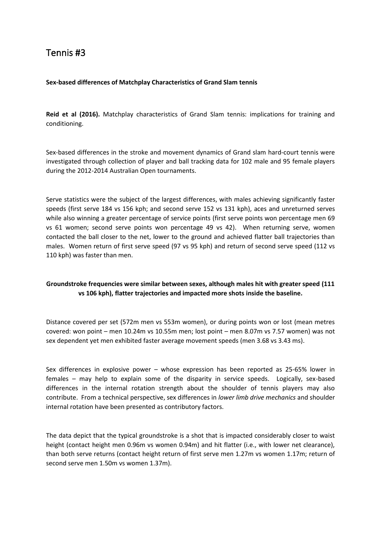## <span id="page-14-0"></span>Tennis #3

### <span id="page-14-1"></span>**Sex-based differences of Matchplay Characteristics of Grand Slam tennis**

**Reid et al (2016).** Matchplay characteristics of Grand Slam tennis: implications for training and conditioning.

Sex-based differences in the stroke and movement dynamics of Grand slam hard-court tennis were investigated through collection of player and ball tracking data for 102 male and 95 female players during the 2012-2014 Australian Open tournaments.

Serve statistics were the subject of the largest differences, with males achieving significantly faster speeds (first serve 184 vs 156 kph; and second serve 152 vs 131 kph), aces and unreturned serves while also winning a greater percentage of service points (first serve points won percentage men 69 vs 61 women; second serve points won percentage 49 vs 42). When returning serve, women contacted the ball closer to the net, lower to the ground and achieved flatter ball trajectories than males. Women return of first serve speed (97 vs 95 kph) and return of second serve speed (112 vs 110 kph) was faster than men.

## **Groundstroke frequencies were similar between sexes, although males hit with greater speed (111 vs 106 kph), flatter trajectories and impacted more shots inside the baseline.**

Distance covered per set (572m men vs 553m women), or during points won or lost (mean metres covered: won point – men 10.24m vs 10.55m men; lost point – men 8.07m vs 7.57 women) was not sex dependent yet men exhibited faster average movement speeds (men 3.68 vs 3.43 ms).

Sex differences in explosive power – whose expression has been reported as 25-65% lower in females – may help to explain some of the disparity in service speeds. Logically, sex-based differences in the internal rotation strength about the shoulder of tennis players may also contribute. From a technical perspective, sex differences in *lower limb drive mechanics* and shoulder internal rotation have been presented as contributory factors.

The data depict that the typical groundstroke is a shot that is impacted considerably closer to waist height (contact height men 0.96m vs women 0.94m) and hit flatter (i.e., with lower net clearance), than both serve returns (contact height return of first serve men 1.27m vs women 1.17m; return of second serve men 1.50m vs women 1.37m).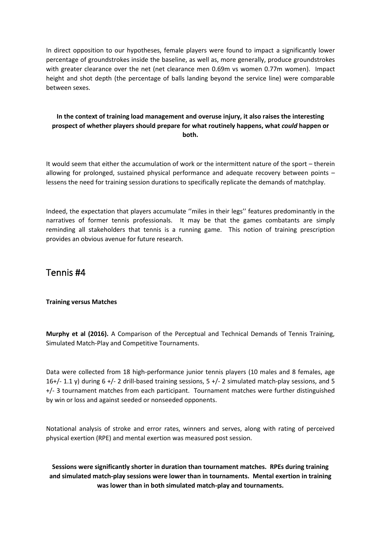In direct opposition to our hypotheses, female players were found to impact a significantly lower percentage of groundstrokes inside the baseline, as well as, more generally, produce groundstrokes with greater clearance over the net (net clearance men 0.69m vs women 0.77m women). Impact height and shot depth (the percentage of balls landing beyond the service line) were comparable between sexes.

## **In the context of training load management and overuse injury, it also raises the interesting prospect of whether players should prepare for what routinely happens, what** *could* **happen or both.**

It would seem that either the accumulation of work or the intermittent nature of the sport – therein allowing for prolonged, sustained physical performance and adequate recovery between points – lessens the need for training session durations to specifically replicate the demands of matchplay.

Indeed, the expectation that players accumulate ''miles in their legs'' features predominantly in the narratives of former tennis professionals. It may be that the games combatants are simply reminding all stakeholders that tennis is a running game. This notion of training prescription provides an obvious avenue for future research.

## <span id="page-15-0"></span>Tennis #4

### <span id="page-15-1"></span>**Training versus Matches**

**Murphy et al (2016).** A Comparison of the Perceptual and Technical Demands of Tennis Training, Simulated Match-Play and Competitive Tournaments.

Data were collected from 18 high-performance junior tennis players (10 males and 8 females, age 16+/- 1.1 y) during 6 +/- 2 drill-based training sessions, 5 +/- 2 simulated match-play sessions, and 5 +/- 3 tournament matches from each participant. Tournament matches were further distinguished by win or loss and against seeded or nonseeded opponents.

Notational analysis of stroke and error rates, winners and serves, along with rating of perceived physical exertion (RPE) and mental exertion was measured post session.

**Sessions were significantly shorter in duration than tournament matches. RPEs during training and simulated match-play sessions were lower than in tournaments. Mental exertion in training was lower than in both simulated match-play and tournaments.**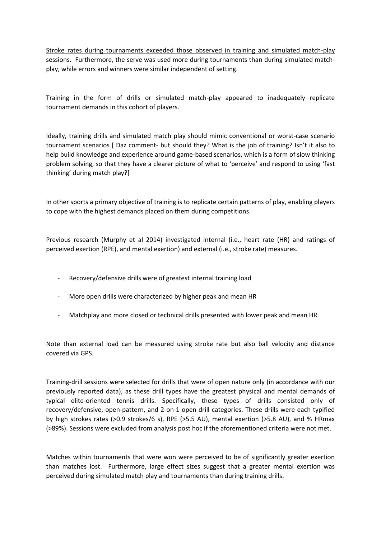Stroke rates during tournaments exceeded those observed in training and simulated match-play sessions. Furthermore, the serve was used more during tournaments than during simulated matchplay, while errors and winners were similar independent of setting.

Training in the form of drills or simulated match-play appeared to inadequately replicate tournament demands in this cohort of players.

Ideally, training drills and simulated match play should mimic conventional or worst-case scenario tournament scenarios [ Daz comment- but should they? What is the job of training? Isn't it also to help build knowledge and experience around game-based scenarios, which is a form of slow thinking problem solving, so that they have a clearer picture of what to 'perceive' and respond to using 'fast thinking' during match play?]

In other sports a primary objective of training is to replicate certain patterns of play, enabling players to cope with the highest demands placed on them during competitions.

Previous research (Murphy et al 2014) investigated internal (i.e., heart rate (HR) and ratings of perceived exertion (RPE), and mental exertion) and external (i.e., stroke rate) measures.

- Recovery/defensive drills were of greatest internal training load
- More open drills were characterized by higher peak and mean HR
- Matchplay and more closed or technical drills presented with lower peak and mean HR.

Note than external load can be measured using stroke rate but also ball velocity and distance covered via GPS.

Training-drill sessions were selected for drills that were of open nature only (in accordance with our previously reported data), as these drill types have the greatest physical and mental demands of typical elite-oriented tennis drills. Specifically, these types of drills consisted only of recovery/defensive, open-pattern, and 2-on-1 open drill categories. These drills were each typified by high strokes rates (>0.9 strokes/6 s), RPE (>5.5 AU), mental exertion (>5.8 AU), and % HRmax (>89%). Sessions were excluded from analysis post hoc if the aforementioned criteria were not met.

Matches within tournaments that were won were perceived to be of significantly greater exertion than matches lost. Furthermore, large effect sizes suggest that a greater mental exertion was perceived during simulated match play and tournaments than during training drills.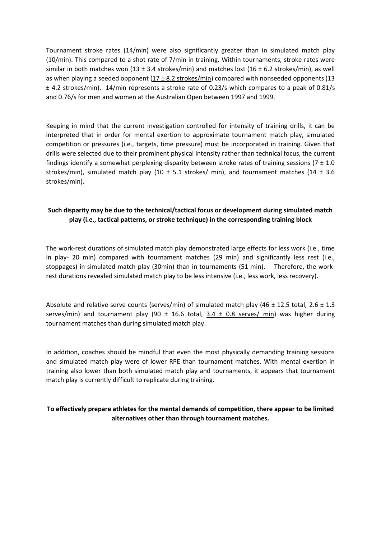Tournament stroke rates (14/min) were also significantly greater than in simulated match play (10/min). This compared to a shot rate of 7/min in training. Within tournaments, stroke rates were similar in both matches won (13 ± 3.4 strokes/min) and matches lost (16 ± 6.2 strokes/min), as well as when playing a seeded opponent  $(17 \pm 8.2 \text{ strokes/min})$  compared with nonseeded opponents  $(13 \pm 8.2 \text{ strokes/min})$ ± 4.2 strokes/min). 14/min represents a stroke rate of 0.23/s which compares to a peak of 0.81/s and 0.76/s for men and women at the Australian Open between 1997 and 1999.

Keeping in mind that the current investigation controlled for intensity of training drills, it can be interpreted that in order for mental exertion to approximate tournament match play, simulated competition or pressures (i.e., targets, time pressure) must be incorporated in training. Given that drills were selected due to their prominent physical intensity rather than technical focus, the current findings identify a somewhat perplexing disparity between stroke rates of training sessions ( $7 \pm 1.0$ ) strokes/min), simulated match play (10  $\pm$  5.1 strokes/ min), and tournament matches (14  $\pm$  3.6 strokes/min).

## **Such disparity may be due to the technical/tactical focus or development during simulated match play (i.e., tactical patterns, or stroke technique) in the corresponding training block**

The work-rest durations of simulated match play demonstrated large effects for less work (i.e., time in play- 20 min) compared with tournament matches (29 min) and significantly less rest (i.e., stoppages) in simulated match play (30min) than in tournaments (51 min). Therefore, the workrest durations revealed simulated match play to be less intensive (i.e., less work, less recovery).

Absolute and relative serve counts (serves/min) of simulated match play (46  $\pm$  12.5 total, 2.6  $\pm$  1.3 serves/min) and tournament play (90  $\pm$  16.6 total, 3.4  $\pm$  0.8 serves/ min) was higher during tournament matches than during simulated match play.

In addition, coaches should be mindful that even the most physically demanding training sessions and simulated match play were of lower RPE than tournament matches. With mental exertion in training also lower than both simulated match play and tournaments, it appears that tournament match play is currently difficult to replicate during training.

## **To effectively prepare athletes for the mental demands of competition, there appear to be limited alternatives other than through tournament matches.**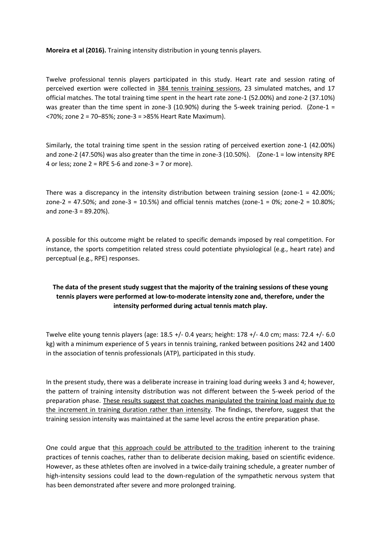**Moreira et al (2016).** Training intensity distribution in young tennis players.

Twelve professional tennis players participated in this study. Heart rate and session rating of perceived exertion were collected in 384 tennis training sessions, 23 simulated matches, and 17 official matches. The total training time spent in the heart rate zone-1 (52.00%) and zone-2 (37.10%) was greater than the time spent in zone-3 (10.90%) during the 5-week training period. (Zone-1 = <70%; zone 2 = 70–85%; zone-3 = >85% Heart Rate Maximum).

Similarly, the total training time spent in the session rating of perceived exertion zone-1 (42.00%) and zone-2 (47.50%) was also greater than the time in zone-3 (10.50%). (Zone-1 = low intensity RPE 4 or less; zone  $2 =$  RPE 5-6 and zone-3 = 7 or more).

There was a discrepancy in the intensity distribution between training session (zone- $1 = 42.00\%$ ; zone-2 = 47.50%; and zone-3 =  $10.5%$ ) and official tennis matches (zone-1 =  $0\%$ ; zone-2 =  $10.80%$ ; and zone-3 = 89.20%).

A possible for this outcome might be related to specific demands imposed by real competition. For instance, the sports competition related stress could potentiate physiological (e.g., heart rate) and perceptual (e.g., RPE) responses.

## **The data of the present study suggest that the majority of the training sessions of these young tennis players were performed at low-to-moderate intensity zone and, therefore, under the intensity performed during actual tennis match play.**

Twelve elite young tennis players (age: 18.5 +/- 0.4 years; height: 178 +/- 4.0 cm; mass: 72.4 +/- 6.0 kg) with a minimum experience of 5 years in tennis training, ranked between positions 242 and 1400 in the association of tennis professionals (ATP), participated in this study.

In the present study, there was a deliberate increase in training load during weeks 3 and 4; however, the pattern of training intensity distribution was not different between the 5-week period of the preparation phase. These results suggest that coaches manipulated the training load mainly due to the increment in training duration rather than intensity. The findings, therefore, suggest that the training session intensity was maintained at the same level across the entire preparation phase.

One could argue that this approach could be attributed to the tradition inherent to the training practices of tennis coaches, rather than to deliberate decision making, based on scientific evidence. However, as these athletes often are involved in a twice-daily training schedule, a greater number of high-intensity sessions could lead to the down-regulation of the sympathetic nervous system that has been demonstrated after severe and more prolonged training.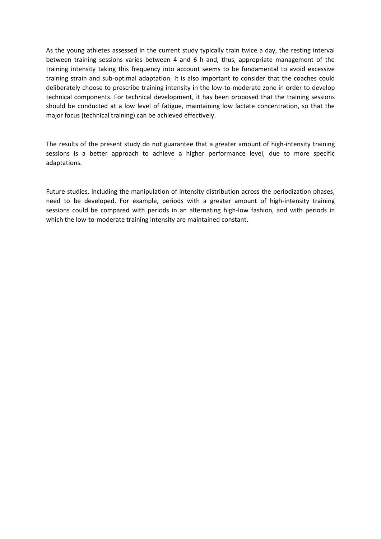As the young athletes assessed in the current study typically train twice a day, the resting interval between training sessions varies between 4 and 6 h and, thus, appropriate management of the training intensity taking this frequency into account seems to be fundamental to avoid excessive training strain and sub-optimal adaptation. It is also important to consider that the coaches could deliberately choose to prescribe training intensity in the low-to-moderate zone in order to develop technical components. For technical development, it has been proposed that the training sessions should be conducted at a low level of fatigue, maintaining low lactate concentration, so that the major focus (technical training) can be achieved effectively.

The results of the present study do not guarantee that a greater amount of high-intensity training sessions is a better approach to achieve a higher performance level, due to more specific adaptations.

Future studies, including the manipulation of intensity distribution across the periodization phases, need to be developed. For example, periods with a greater amount of high-intensity training sessions could be compared with periods in an alternating high-low fashion, and with periods in which the low-to-moderate training intensity are maintained constant.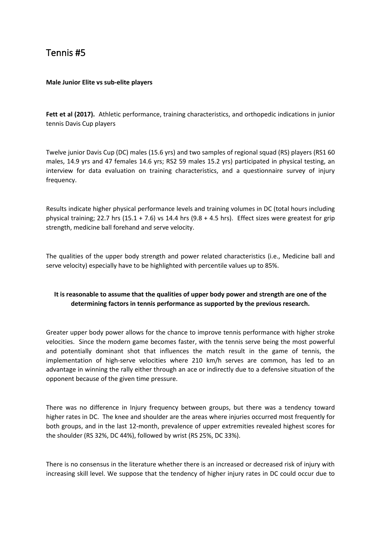## <span id="page-20-0"></span>Tennis #5

#### <span id="page-20-1"></span>**Male Junior Elite vs sub-elite players**

**Fett et al (2017).** Athletic performance, training characteristics, and orthopedic indications in junior tennis Davis Cup players

Twelve junior Davis Cup (DC) males (15.6 yrs) and two samples of regional squad (RS) players (RS1 60 males, 14.9 yrs and 47 females 14.6 yrs; RS2 59 males 15.2 yrs) participated in physical testing, an interview for data evaluation on training characteristics, and a questionnaire survey of injury frequency.

Results indicate higher physical performance levels and training volumes in DC (total hours including physical training; 22.7 hrs (15.1 + 7.6) vs 14.4 hrs (9.8 + 4.5 hrs). Effect sizes were greatest for grip strength, medicine ball forehand and serve velocity.

The qualities of the upper body strength and power related characteristics (i.e., Medicine ball and serve velocity) especially have to be highlighted with percentile values up to 85%.

## **It is reasonable to assume that the qualities of upper body power and strength are one of the determining factors in tennis performance as supported by the previous research.**

Greater upper body power allows for the chance to improve tennis performance with higher stroke velocities. Since the modern game becomes faster, with the tennis serve being the most powerful and potentially dominant shot that influences the match result in the game of tennis, the implementation of high-serve velocities where 210 km/h serves are common, has led to an advantage in winning the rally either through an ace or indirectly due to a defensive situation of the opponent because of the given time pressure.

There was no difference in Injury frequency between groups, but there was a tendency toward higher rates in DC. The knee and shoulder are the areas where injuries occurred most frequently for both groups, and in the last 12-month, prevalence of upper extremities revealed highest scores for the shoulder (RS 32%, DC 44%), followed by wrist (RS 25%, DC 33%).

There is no consensus in the literature whether there is an increased or decreased risk of injury with increasing skill level. We suppose that the tendency of higher injury rates in DC could occur due to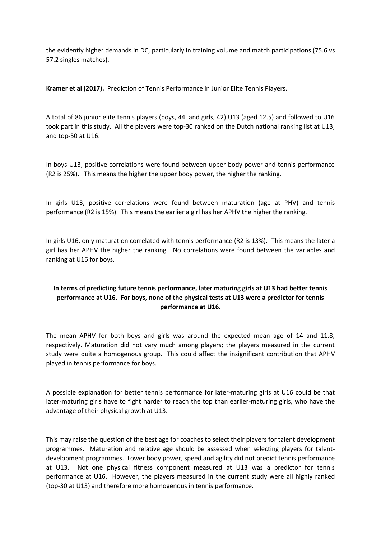the evidently higher demands in DC, particularly in training volume and match participations (75.6 vs 57.2 singles matches).

**Kramer et al (2017).** Prediction of Tennis Performance in Junior Elite Tennis Players.

A total of 86 junior elite tennis players (boys, 44, and girls, 42) U13 (aged 12.5) and followed to U16 took part in this study. All the players were top-30 ranked on the Dutch national ranking list at U13, and top-50 at U16.

In boys U13, positive correlations were found between upper body power and tennis performance (R2 is 25%). This means the higher the upper body power, the higher the ranking.

In girls U13, positive correlations were found between maturation (age at PHV) and tennis performance (R2 is 15%). This means the earlier a girl has her APHV the higher the ranking.

In girls U16, only maturation correlated with tennis performance (R2 is 13%). This means the later a girl has her APHV the higher the ranking. No correlations were found between the variables and ranking at U16 for boys.

## **In terms of predicting future tennis performance, later maturing girls at U13 had better tennis performance at U16. For boys, none of the physical tests at U13 were a predictor for tennis performance at U16.**

The mean APHV for both boys and girls was around the expected mean age of 14 and 11.8, respectively. Maturation did not vary much among players; the players measured in the current study were quite a homogenous group. This could affect the insignificant contribution that APHV played in tennis performance for boys.

A possible explanation for better tennis performance for later-maturing girls at U16 could be that later-maturing girls have to fight harder to reach the top than earlier-maturing girls, who have the advantage of their physical growth at U13.

This may raise the question of the best age for coaches to select their players for talent development programmes. Maturation and relative age should be assessed when selecting players for talentdevelopment programmes. Lower body power, speed and agility did not predict tennis performance at U13. Not one physical fitness component measured at U13 was a predictor for tennis performance at U16. However, the players measured in the current study were all highly ranked (top-30 at U13) and therefore more homogenous in tennis performance.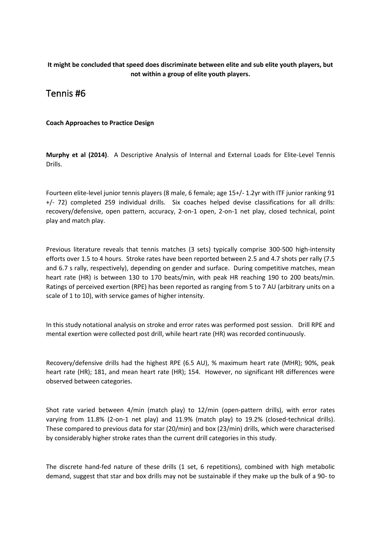## **It might be concluded that speed does discriminate between elite and sub elite youth players, but not within a group of elite youth players.**

## <span id="page-22-0"></span>Tennis #6

## <span id="page-22-1"></span>**Coach Approaches to Practice Design**

**Murphy et al (2014)**. A Descriptive Analysis of Internal and External Loads for Elite-Level Tennis Drills.

Fourteen elite-level junior tennis players (8 male, 6 female; age 15+/- 1.2yr with ITF junior ranking 91 +/- 72) completed 259 individual drills. Six coaches helped devise classifications for all drills: recovery/defensive, open pattern, accuracy, 2-on-1 open, 2-on-1 net play, closed technical, point play and match play.

Previous literature reveals that tennis matches (3 sets) typically comprise 300-500 high-intensity efforts over 1.5 to 4 hours. Stroke rates have been reported between 2.5 and 4.7 shots per rally (7.5 and 6.7 s rally, respectively), depending on gender and surface. During competitive matches, mean heart rate (HR) is between 130 to 170 beats/min, with peak HR reaching 190 to 200 beats/min. Ratings of perceived exertion (RPE) has been reported as ranging from 5 to 7 AU (arbitrary units on a scale of 1 to 10), with service games of higher intensity.

In this study notational analysis on stroke and error rates was performed post session. Drill RPE and mental exertion were collected post drill, while heart rate (HR) was recorded continuously.

Recovery/defensive drills had the highest RPE (6.5 AU), % maximum heart rate (MHR); 90%, peak heart rate (HR); 181, and mean heart rate (HR); 154. However, no significant HR differences were observed between categories.

Shot rate varied between 4/min (match play) to 12/min (open-pattern drills), with error rates varying from 11.8% (2-on-1 net play) and 11.9% (match play) to 19.2% (closed-technical drills). These compared to previous data for star (20/min) and box (23/min) drills, which were characterised by considerably higher stroke rates than the current drill categories in this study.

The discrete hand-fed nature of these drills (1 set, 6 repetitions), combined with high metabolic demand, suggest that star and box drills may not be sustainable if they make up the bulk of a 90- to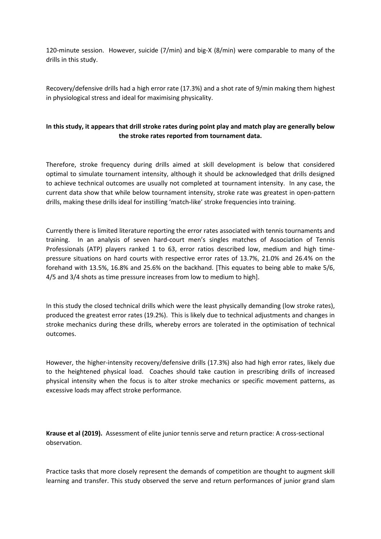120-minute session. However, suicide (7/min) and big-X (8/min) were comparable to many of the drills in this study.

Recovery/defensive drills had a high error rate (17.3%) and a shot rate of 9/min making them highest in physiological stress and ideal for maximising physicality.

## **In this study, it appears that drill stroke rates during point play and match play are generally below the stroke rates reported from tournament data.**

Therefore, stroke frequency during drills aimed at skill development is below that considered optimal to simulate tournament intensity, although it should be acknowledged that drills designed to achieve technical outcomes are usually not completed at tournament intensity. In any case, the current data show that while below tournament intensity, stroke rate was greatest in open-pattern drills, making these drills ideal for instilling 'match-like' stroke frequencies into training.

Currently there is limited literature reporting the error rates associated with tennis tournaments and training. In an analysis of seven hard-court men's singles matches of Association of Tennis Professionals (ATP) players ranked 1 to 63, error ratios described low, medium and high timepressure situations on hard courts with respective error rates of 13.7%, 21.0% and 26.4% on the forehand with 13.5%, 16.8% and 25.6% on the backhand. [This equates to being able to make 5/6, 4/5 and 3/4 shots as time pressure increases from low to medium to high].

In this study the closed technical drills which were the least physically demanding (low stroke rates), produced the greatest error rates (19.2%). This is likely due to technical adjustments and changes in stroke mechanics during these drills, whereby errors are tolerated in the optimisation of technical outcomes.

However, the higher-intensity recovery/defensive drills (17.3%) also had high error rates, likely due to the heightened physical load. Coaches should take caution in prescribing drills of increased physical intensity when the focus is to alter stroke mechanics or specific movement patterns, as excessive loads may affect stroke performance.

**Krause et al (2019).** Assessment of elite junior tennis serve and return practice: A cross-sectional observation.

Practice tasks that more closely represent the demands of competition are thought to augment skill learning and transfer. This study observed the serve and return performances of junior grand slam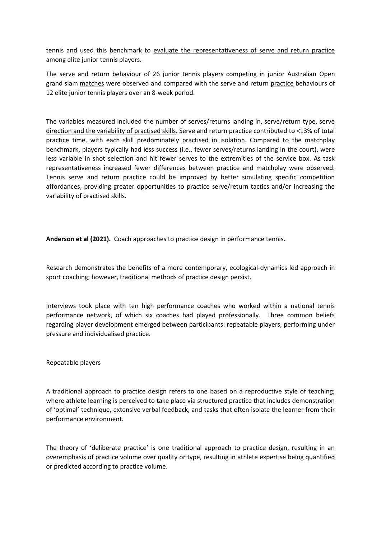tennis and used this benchmark to evaluate the representativeness of serve and return practice among elite junior tennis players.

The serve and return behaviour of 26 junior tennis players competing in junior Australian Open grand slam matches were observed and compared with the serve and return practice behaviours of 12 elite junior tennis players over an 8-week period.

The variables measured included the number of serves/returns landing in, serve/return type, serve direction and the variability of practised skills. Serve and return practice contributed to <13% of total practice time, with each skill predominately practised in isolation. Compared to the matchplay benchmark, players typically had less success (i.e., fewer serves/returns landing in the court), were less variable in shot selection and hit fewer serves to the extremities of the service box. As task representativeness increased fewer differences between practice and matchplay were observed. Tennis serve and return practice could be improved by better simulating specific competition affordances, providing greater opportunities to practice serve/return tactics and/or increasing the variability of practised skills.

**Anderson et al (2021).** Coach approaches to practice design in performance tennis.

Research demonstrates the benefits of a more contemporary, ecological-dynamics led approach in sport coaching; however, traditional methods of practice design persist.

Interviews took place with ten high performance coaches who worked within a national tennis performance network, of which six coaches had played professionally. Three common beliefs regarding player development emerged between participants: repeatable players, performing under pressure and individualised practice.

Repeatable players

A traditional approach to practice design refers to one based on a reproductive style of teaching; where athlete learning is perceived to take place via structured practice that includes demonstration of 'optimal' technique, extensive verbal feedback, and tasks that often isolate the learner from their performance environment.

The theory of 'deliberate practice' is one traditional approach to practice design, resulting in an overemphasis of practice volume over quality or type, resulting in athlete expertise being quantified or predicted according to practice volume.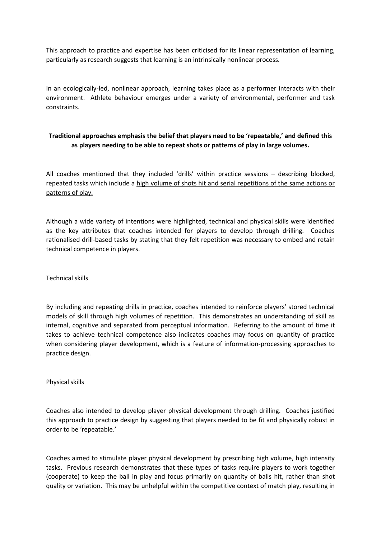This approach to practice and expertise has been criticised for its linear representation of learning, particularly as research suggests that learning is an intrinsically nonlinear process.

In an ecologically-led, nonlinear approach, learning takes place as a performer interacts with their environment. Athlete behaviour emerges under a variety of environmental, performer and task constraints.

## **Traditional approaches emphasis the belief that players need to be 'repeatable,' and defined this as players needing to be able to repeat shots or patterns of play in large volumes.**

All coaches mentioned that they included 'drills' within practice sessions – describing blocked, repeated tasks which include a high volume of shots hit and serial repetitions of the same actions or patterns of play.

Although a wide variety of intentions were highlighted, technical and physical skills were identified as the key attributes that coaches intended for players to develop through drilling. Coaches rationalised drill-based tasks by stating that they felt repetition was necessary to embed and retain technical competence in players.

Technical skills

By including and repeating drills in practice, coaches intended to reinforce players' stored technical models of skill through high volumes of repetition. This demonstrates an understanding of skill as internal, cognitive and separated from perceptual information. Referring to the amount of time it takes to achieve technical competence also indicates coaches may focus on quantity of practice when considering player development, which is a feature of information-processing approaches to practice design.

Physical skills

Coaches also intended to develop player physical development through drilling. Coaches justified this approach to practice design by suggesting that players needed to be fit and physically robust in order to be 'repeatable.'

Coaches aimed to stimulate player physical development by prescribing high volume, high intensity tasks. Previous research demonstrates that these types of tasks require players to work together (cooperate) to keep the ball in play and focus primarily on quantity of balls hit, rather than shot quality or variation. This may be unhelpful within the competitive context of match play, resulting in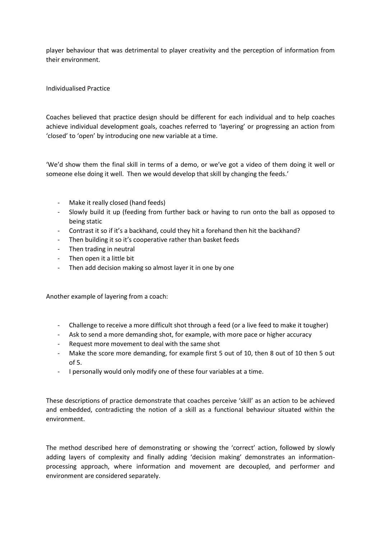player behaviour that was detrimental to player creativity and the perception of information from their environment.

## Individualised Practice

Coaches believed that practice design should be different for each individual and to help coaches achieve individual development goals, coaches referred to 'layering' or progressing an action from 'closed' to 'open' by introducing one new variable at a time.

'We'd show them the final skill in terms of a demo, or we've got a video of them doing it well or someone else doing it well. Then we would develop that skill by changing the feeds.'

- Make it really closed (hand feeds)
- Slowly build it up (feeding from further back or having to run onto the ball as opposed to being static
- Contrast it so if it's a backhand, could they hit a forehand then hit the backhand?
- Then building it so it's cooperative rather than basket feeds
- Then trading in neutral
- Then open it a little bit
- Then add decision making so almost layer it in one by one

Another example of layering from a coach:

- Challenge to receive a more difficult shot through a feed (or a live feed to make it tougher)
- Ask to send a more demanding shot, for example, with more pace or higher accuracy
- Request more movement to deal with the same shot
- Make the score more demanding, for example first 5 out of 10, then 8 out of 10 then 5 out of 5.
- I personally would only modify one of these four variables at a time.

These descriptions of practice demonstrate that coaches perceive 'skill' as an action to be achieved and embedded, contradicting the notion of a skill as a functional behaviour situated within the environment.

The method described here of demonstrating or showing the 'correct' action, followed by slowly adding layers of complexity and finally adding 'decision making' demonstrates an informationprocessing approach, where information and movement are decoupled, and performer and environment are considered separately.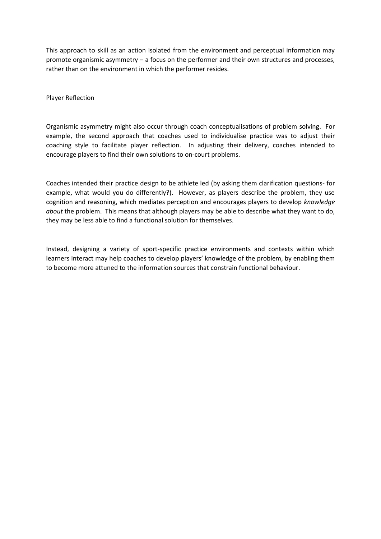This approach to skill as an action isolated from the environment and perceptual information may promote organismic asymmetry – a focus on the performer and their own structures and processes, rather than on the environment in which the performer resides.

Player Reflection

Organismic asymmetry might also occur through coach conceptualisations of problem solving. For example, the second approach that coaches used to individualise practice was to adjust their coaching style to facilitate player reflection. In adjusting their delivery, coaches intended to encourage players to find their own solutions to on-court problems.

Coaches intended their practice design to be athlete led (by asking them clarification questions- for example, what would you do differently?). However, as players describe the problem, they use cognition and reasoning, which mediates perception and encourages players to develop *knowledge about* the problem. This means that although players may be able to describe what they want to do, they may be less able to find a functional solution for themselves.

Instead, designing a variety of sport-specific practice environments and contexts within which learners interact may help coaches to develop players' knowledge of the problem, by enabling them to become more attuned to the information sources that constrain functional behaviour.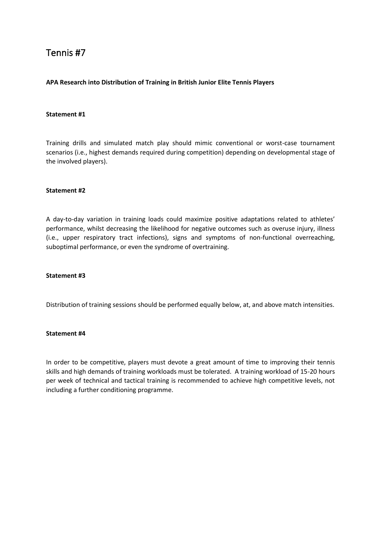## <span id="page-28-0"></span>Tennis #7

## <span id="page-28-1"></span>**APA Research into Distribution of Training in British Junior Elite Tennis Players**

### **Statement #1**

Training drills and simulated match play should mimic conventional or worst-case tournament scenarios (i.e., highest demands required during competition) depending on developmental stage of the involved players).

#### **Statement #2**

A day-to-day variation in training loads could maximize positive adaptations related to athletes' performance, whilst decreasing the likelihood for negative outcomes such as overuse injury, illness (i.e., upper respiratory tract infections), signs and symptoms of non-functional overreaching, suboptimal performance, or even the syndrome of overtraining.

#### **Statement #3**

Distribution of training sessions should be performed equally below, at, and above match intensities.

### **Statement #4**

In order to be competitive, players must devote a great amount of time to improving their tennis skills and high demands of training workloads must be tolerated. A training workload of 15-20 hours per week of technical and tactical training is recommended to achieve high competitive levels, not including a further conditioning programme.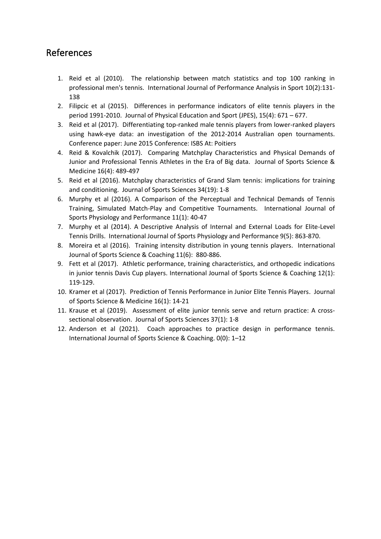## <span id="page-29-0"></span>References

- 1. Reid et al (2010). The relationship between match statistics and top 100 ranking in professional men's tennis. International Journal of Performance Analysis in Sport 10(2):131- 138
- 2. Filipcic et al (2015). Differences in performance indicators of elite tennis players in the period 1991-2010. Journal of Physical Education and Sport (JPES), 15(4): 671 – 677.
- 3. Reid et al (2017). Differentiating top-ranked male tennis players from lower-ranked players using hawk-eye data: an investigation of the 2012-2014 Australian open tournaments. Conference paper: June 2015 Conference: ISBS At: Poitiers
- 4. Reid & Kovalchik (2017). Comparing Matchplay Characteristics and Physical Demands of Junior and Professional Tennis Athletes in the Era of Big data. Journal of Sports Science & Medicine 16(4): 489-497
- 5. Reid et al (2016). Matchplay characteristics of Grand Slam tennis: implications for training and conditioning. Journal of Sports Sciences 34(19): 1-8
- 6. Murphy et al (2016). A Comparison of the Perceptual and Technical Demands of Tennis Training, Simulated Match-Play and Competitive Tournaments. International Journal of Sports Physiology and Performance 11(1): 40-47
- 7. Murphy et al (2014). A Descriptive Analysis of Internal and External Loads for Elite-Level Tennis Drills. International Journal of Sports Physiology and Performance 9(5): 863-870.
- 8. Moreira et al (2016). Training intensity distribution in young tennis players. International Journal of Sports Science & Coaching 11(6): 880-886.
- 9. Fett et al (2017). Athletic performance, training characteristics, and orthopedic indications in junior tennis Davis Cup players. International Journal of Sports Science & Coaching 12(1): 119-129.
- 10. Kramer et al (2017). Prediction of Tennis Performance in Junior Elite Tennis Players. Journal of Sports Science & Medicine 16(1): 14-21
- 11. Krause et al (2019). Assessment of elite junior tennis serve and return practice: A crosssectional observation. Journal of Sports Sciences 37(1): 1-8
- 12. Anderson et al (2021). Coach approaches to practice design in performance tennis. International Journal of Sports Science & Coaching. 0(0): 1–12